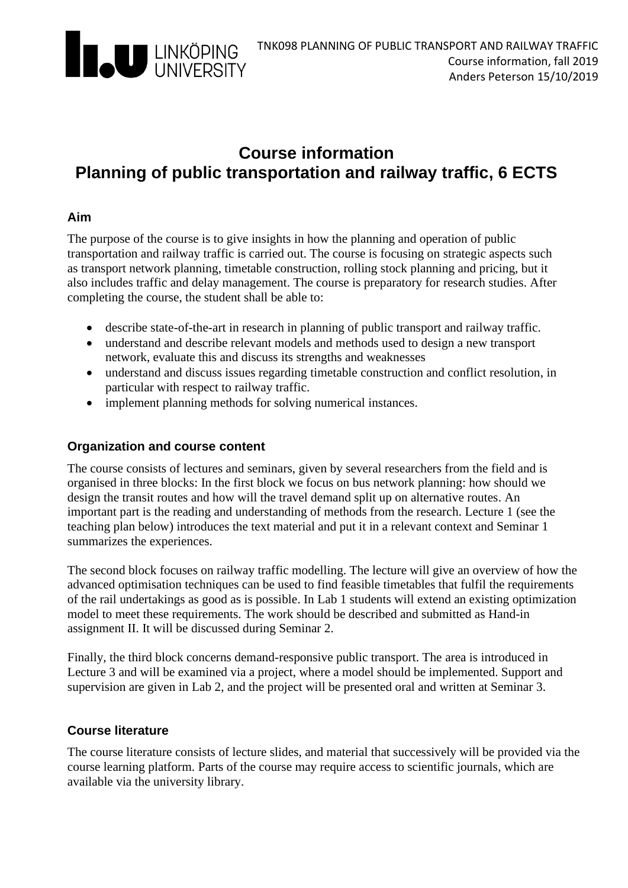

# **Course information Planning of public transportation and railway traffic, 6 ECTS**

#### **Aim**

The purpose of the course is to give insights in how the planning and operation of public transportation and railway traffic is carried out. The course is focusing on strategic aspects such as transport network planning, timetable construction, rolling stock planning and pricing, but it also includes traffic and delay management. The course is preparatory for research studies. After completing the course, the student shall be able to:

- describe state-of-the-art in research in planning of public transport and railway traffic.
- understand and describe relevant models and methods used to design a new transport network, evaluate this and discuss its strengths and weaknesses
- understand and discuss issues regarding timetable construction and conflict resolution, in particular with respect to railway traffic.
- implement planning methods for solving numerical instances.

#### **Organization and course content**

The course consists of lectures and seminars, given by several researchers from the field and is organised in three blocks: In the first block we focus on bus network planning: how should we design the transit routes and how will the travel demand split up on alternative routes. An important part is the reading and understanding of methods from the research. Lecture 1 (see the teaching plan below) introduces the text material and put it in a relevant context and Seminar 1 summarizes the experiences.

The second block focuses on railway traffic modelling. The lecture will give an overview of how the advanced optimisation techniques can be used to find feasible timetables that fulfil the requirements of the rail undertakings as good as is possible. In Lab 1 students will extend an existing optimization model to meet these requirements. The work should be described and submitted as Hand-in assignment II. It will be discussed during Seminar 2.

Finally, the third block concerns demand-responsive public transport. The area is introduced in Lecture 3 and will be examined via a project, where a model should be implemented. Support and supervision are given in Lab 2, and the project will be presented oral and written at Seminar 3.

#### **Course literature**

The course literature consists of lecture slides, and material that successively will be provided via the course learning platform. Parts of the course may require access to scientific journals, which are available via the university library.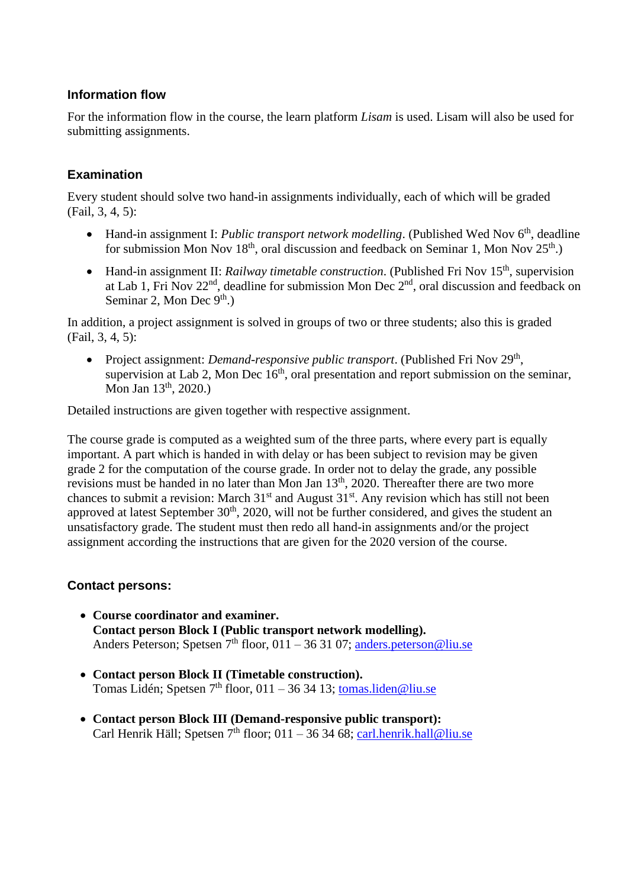#### **Information flow**

For the information flow in the course, the learn platform *Lisam* is used. Lisam will also be used for submitting assignments.

## **Examination**

Every student should solve two hand-in assignments individually, each of which will be graded (Fail, 3, 4, 5):

- Hand-in assignment I: *Public transport network modelling*. (Published Wed Nov 6<sup>th</sup>, deadline for submission Mon Nov 18<sup>th</sup>, oral discussion and feedback on Seminar 1, Mon Nov 25<sup>th</sup>.)
- Hand-in assignment II: *Railway timetable construction*. (Published Fri Nov 15<sup>th</sup>, supervision at Lab 1, Fri Nov  $22<sup>nd</sup>$ , deadline for submission Mon Dec  $2<sup>nd</sup>$ , oral discussion and feedback on Seminar 2, Mon Dec  $9<sup>th</sup>$ .)

In addition, a project assignment is solved in groups of two or three students; also this is graded (Fail, 3, 4, 5):

• Project assignment: *Demand-responsive public transport*. (Published Fri Nov 29<sup>th</sup>, supervision at Lab 2, Mon Dec  $16<sup>th</sup>$ , oral presentation and report submission on the seminar, Mon Jan 13<sup>th</sup>, 2020.)

Detailed instructions are given together with respective assignment.

The course grade is computed as a weighted sum of the three parts, where every part is equally important. A part which is handed in with delay or has been subject to revision may be given grade 2 for the computation of the course grade. In order not to delay the grade, any possible revisions must be handed in no later than Mon Jan 13<sup>th</sup>, 2020. Thereafter there are two more chances to submit a revision: March  $31<sup>st</sup>$  and August  $31<sup>st</sup>$ . Any revision which has still not been approved at latest September  $30<sup>th</sup>$ ,  $2020$ , will not be further considered, and gives the student an unsatisfactory grade. The student must then redo all hand-in assignments and/or the project assignment according the instructions that are given for the 2020 version of the course.

#### **Contact persons:**

- **Course coordinator and examiner. Contact person Block I (Public transport network modelling).** Anders Peterson; Spetsen  $7<sup>th</sup>$  floor, 011 – 36 31 07; anders.peterson@liu.se
- **Contact person Block II (Timetable construction).** Tomas Lidén; Spetsen 7<sup>th</sup> floor, 011 – 36 34 13; tomas.liden@liu.se
- **Contact person Block III (Demand-responsive public transport):**  Carl Henrik Häll; Spetsen  $7<sup>th</sup>$  floor; 011 – 36 34 68; carl.henrik.hall@liu.se